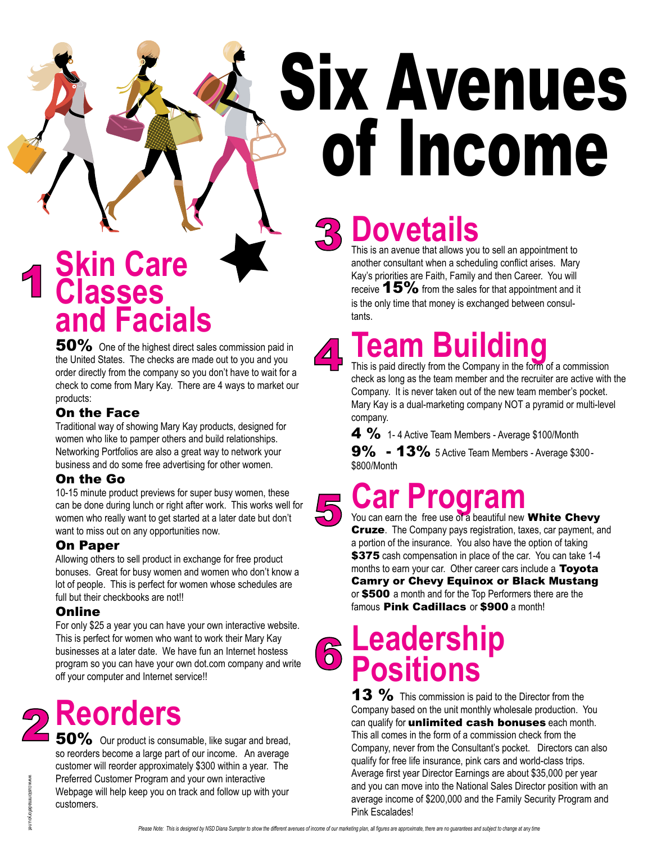# Six Avenues of Income

### **Skin Care Classes and Facials**<br>**50%** One of the highest direct sales commission paid in 1

the United States. The checks are made out to you and you order directly from the company so you don't have to wait for a check to come from Mary Kay. There are 4 ways to market our products:

#### On the Face

Traditional way of showing Mary Kay products, designed for women who like to pamper others and build relationships. Networking Portfolios are also a great way to network your business and do some free advertising for other women.

### On the Go

10-15 minute product previews for super busy women, these can be done during lunch or right after work. This works well for women who really want to get started at a later date but don't want to miss out on any opportunities now.

### On Paper

Allowing others to sell product in exchange for free product bonuses. Great for busy women and women who don't know a lot of people. This is perfect for women whose schedules are full but their checkbooks are not!!

### **Online**

For only \$25 a year you can have your own interactive website. This is perfect for women who want to work their Mary Kay businesses at a later date. We have fun an Internet hostess program so you can have your own dot.com company and write off your computer and Internet service!!



50% Our product is consumable, like sugar and bread, so reorders become a large part of our income. An average customer will reorder approximately \$300 within a year. The Preferred Customer Program and your own interactive Webpage will help keep you on track and follow up with your customers.

3

# **Dovetails**

This is an avenue that allows you to sell an appointment to another consultant when a scheduling conflict arises. Mary Kay's priorities are Faith, Family and then Career. You will receive  $15\%$  from the sales for that appointment and it is the only time that money is exchanged between consultants.



# **Team Building**

This is paid directly from the Company in the form of a commission check as long as the team member and the recruiter are active with the Company. It is never taken out of the new team member's pocket. Mary Kay is a dual-marketing company NOT a pyramid or multi-level company.

 $4 \%$  1-4 Active Team Members - Average \$100/Month

9% - 13% 5 Active Team Members - Average \$300-\$800/Month

### **Car Program**<br>You can earn the free use of a beautiful new White Chevy 5.

**Cruze**. The Company pays registration, taxes, car payment, and a portion of the insurance. You also have the option of taking \$375 cash compensation in place of the car. You can take 1-4 months to earn your car. Other career cars include a Toyota Camry or Chevy Equinox or Black Mustang or \$500 a month and for the Top Performers there are the famous **Pink Cadillacs** or **\$900** a month!

6

**Leadership Positions** 

13 % This commission is paid to the Director from the Company based on the unit monthly wholesale production. You can qualify for *unlimited* cash bonuses each month. This all comes in the form of a commission check from the Company, never from the Consultant's pocket. Directors can also qualify for free life insurance, pink cars and world-class trips. Average first year Director Earnings are about \$35,000 per year and you can move into the National Sales Director position with an average income of \$200,000 and the Family Security Program and Pink Escalades!